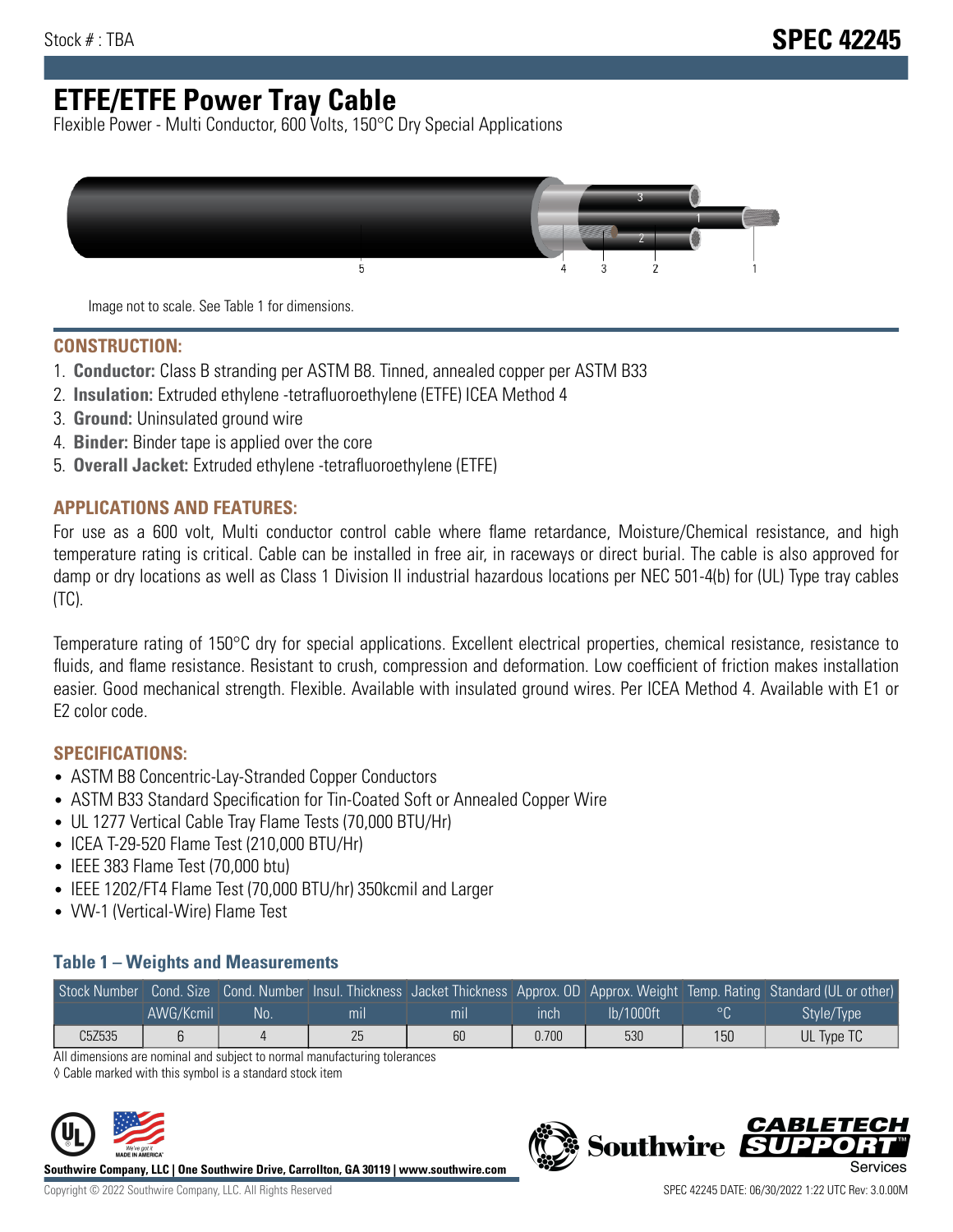# **ETFE/ETFE Power Tray Cable**

Flexible Power - Multi Conductor, 600 Volts, 150°C Dry Special Applications



Image not to scale. See Table 1 for dimensions.

#### **CONSTRUCTION:**

- 1. **Conductor:** Class B stranding per ASTM B8. Tinned, annealed copper per ASTM B33
- 2. **Insulation:** Extruded ethylene -tetrafluoroethylene (ETFE) ICEA Method 4
- 3. **Ground:** Uninsulated ground wire
- 4. **Binder:** Binder tape is applied over the core
- 5. **Overall Jacket:** Extruded ethylene -tetrafluoroethylene (ETFE)

#### **APPLICATIONS AND FEATURES:**

For use as a 600 volt, Multi conductor control cable where flame retardance, Moisture/Chemical resistance, and high temperature rating is critical. Cable can be installed in free air, in raceways or direct burial. The cable is also approved for damp or dry locations as well as Class 1 Division II industrial hazardous locations per NEC 501-4(b) for (UL) Type tray cables (TC).

Temperature rating of 150°C dry for special applications. Excellent electrical properties, chemical resistance, resistance to fluids, and flame resistance. Resistant to crush, compression and deformation. Low coefficient of friction makes installation easier. Good mechanical strength. Flexible. Available with insulated ground wires. Per ICEA Method 4. Available with E1 or E2 color code.

### **SPECIFICATIONS:**

- ASTM B8 Concentric-Lay-Stranded Copper Conductors
- ASTM B33 Standard Specification for Tin-Coated Soft or Annealed Copper Wire
- UL 1277 Vertical Cable Tray Flame Tests (70,000 BTU/Hr)
- ICEA T-29-520 Flame Test (210,000 BTU/Hr)
- IEEE 383 Flame Test (70,000 btu)
- IEEE 1202/FT4 Flame Test (70,000 BTU/hr) 350kcmil and Larger
- VW-1 (Vertical-Wire) Flame Test

#### **Table 1 – Weights and Measurements**

|        |           |    |     |     |       |           |         | Stock Number Cond. Size Cond. Number Insul. Thickness Jacket Thickness Approx. OD Approx. Weight Temp. Rating Standard (UL or other) |
|--------|-----------|----|-----|-----|-------|-----------|---------|--------------------------------------------------------------------------------------------------------------------------------------|
|        | AWG/Kcmil | No | mıl | mıl | ınch  | lb/1000ft | $\circ$ | Style/Type <sup>1</sup>                                                                                                              |
| C5Z535 |           |    | 25  | 60  | 0.700 | 530       | 150     | UL Type TC                                                                                                                           |

All dimensions are nominal and subject to normal manufacturing tolerances

◊ Cable marked with this symbol is a standard stock item



**Southwire Company, LLC | One Southwire Drive, Carrollton, GA 30119 | www.southwire.com**

**Southwire** 

CARLET